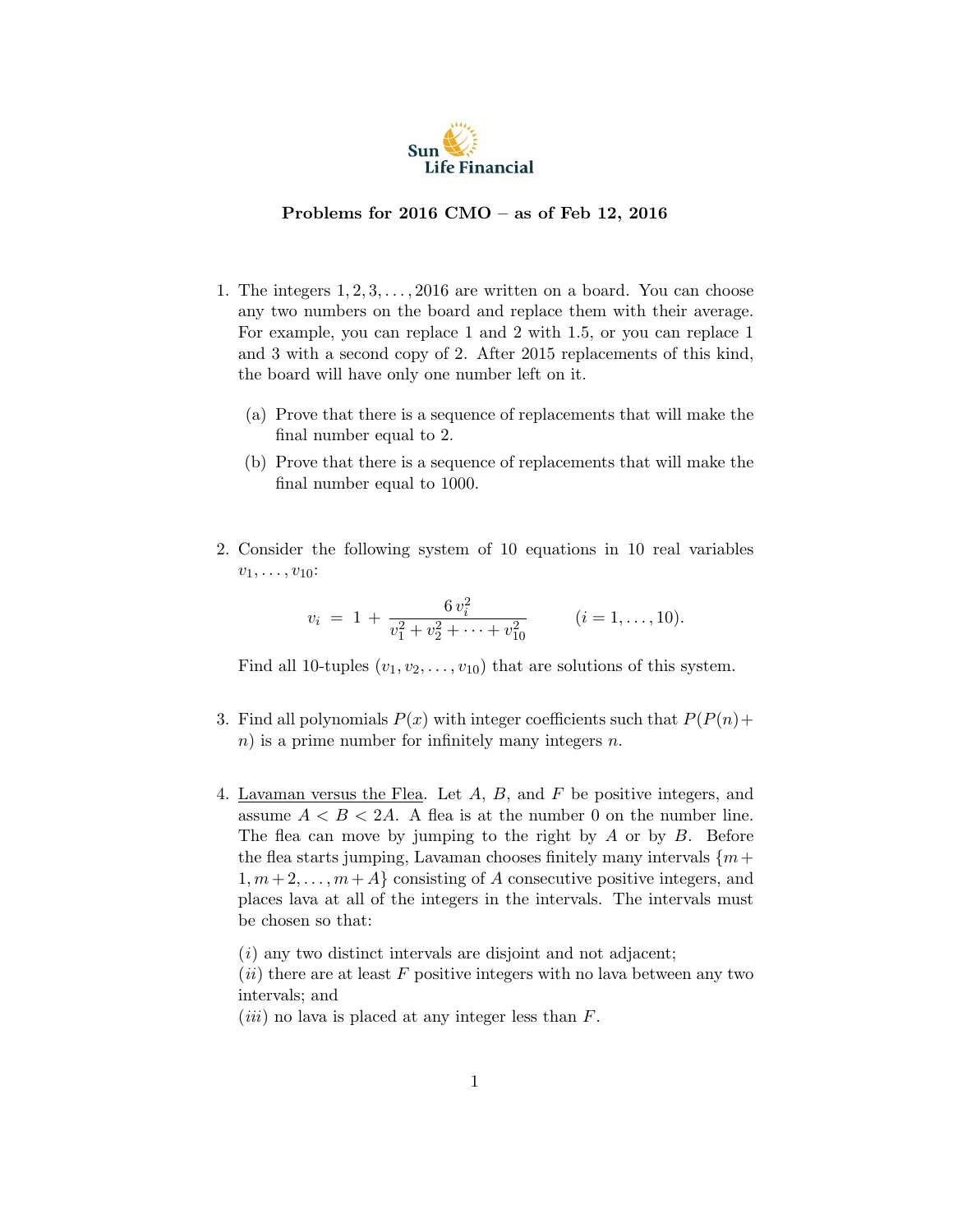

## Problems for 2016 CMO – as of Feb 12, 2016

- 1. The integers  $1, 2, 3, \ldots, 2016$  are written on a board. You can choose any two numbers on the board and replace them with their average. For example, you can replace 1 and 2 with 1.5, or you can replace 1 and 3 with a second copy of 2. After 2015 replacements of this kind, the board will have only one number left on it.
	- (a) Prove that there is a sequence of replacements that will make the final number equal to 2.
	- (b) Prove that there is a sequence of replacements that will make the final number equal to 1000.
- 2. Consider the following system of 10 equations in 10 real variables  $v_1, \ldots, v_{10}$ :

$$
v_i = 1 + \frac{6 v_i^2}{v_1^2 + v_2^2 + \dots + v_{10}^2}
$$
 (*i* = 1, ..., 10).

Find all 10-tuples  $(v_1, v_2, \ldots, v_{10})$  that are solutions of this system.

- 3. Find all polynomials  $P(x)$  with integer coefficients such that  $P(P(n) +$  $n)$  is a prime number for infinitely many integers n.
- 4. Lavaman versus the Flea. Let A, B, and F be positive integers, and assume  $A < B < 2A$ . A flea is at the number 0 on the number line. The flea can move by jumping to the right by  $A$  or by  $B$ . Before the flea starts jumping, Lavaman chooses finitely many intervals  $\{m+\}$  $1, m+2, \ldots, m+A$  consisting of A consecutive positive integers, and places lava at all of the integers in the intervals. The intervals must be chosen so that:

 $(i)$  any two distinct intervals are disjoint and not adjacent;

 $(ii)$  there are at least F positive integers with no lava between any two intervals; and

 $(iii)$  no lava is placed at any integer less than  $F$ .